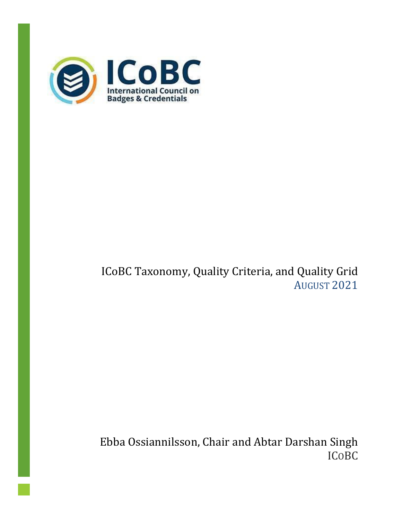

# ICoBC Taxonomy, Quality Criteria, and Quality Grid AUGUST 2021

Ebba Ossiannilsson, Chair and Abtar Darshan Singh ICOBC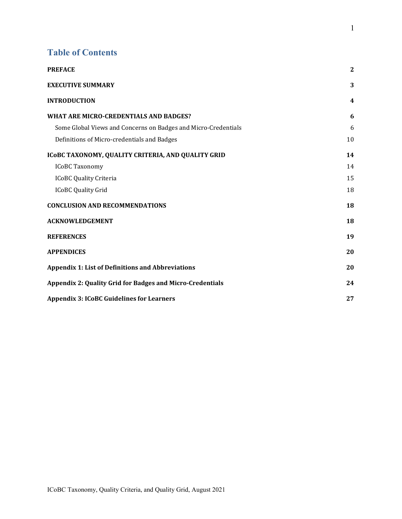#### **Table of Contents**

<span id="page-1-0"></span>

| <b>PREFACE</b>                                                   | $\boldsymbol{2}$ |
|------------------------------------------------------------------|------------------|
| <b>EXECUTIVE SUMMARY</b>                                         | 3                |
| <b>INTRODUCTION</b>                                              | 4                |
| WHAT ARE MICRO-CREDENTIALS AND BADGES?                           | 6                |
| Some Global Views and Concerns on Badges and Micro-Credentials   | 6                |
| Definitions of Micro-credentials and Badges                      | 10               |
| ICOBC TAXONOMY, QUALITY CRITERIA, AND QUALITY GRID               | 14               |
| <b>ICoBC Taxonomy</b>                                            | 14               |
| <b>ICoBC Quality Criteria</b>                                    | 15               |
| <b>ICoBC Quality Grid</b>                                        | 18               |
| <b>CONCLUSION AND RECOMMENDATIONS</b>                            | 18               |
| <b>ACKNOWLEDGEMENT</b>                                           | 18               |
| <b>REFERENCES</b>                                                | 19               |
| <b>APPENDICES</b>                                                | 20               |
| <b>Appendix 1: List of Definitions and Abbreviations</b>         | 20               |
| <b>Appendix 2: Quality Grid for Badges and Micro-Credentials</b> | 24               |
| <b>Appendix 3: ICoBC Guidelines for Learners</b>                 | 27               |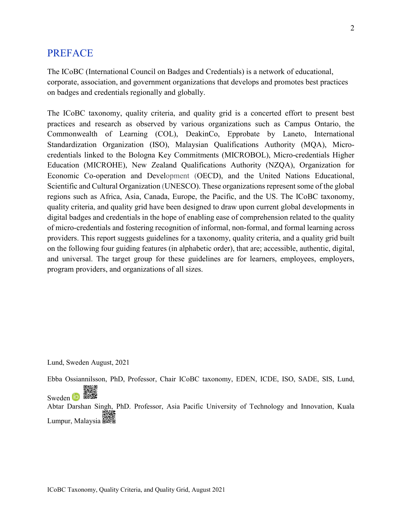#### PREFACE

The ICoBC (International Council on Badges and Credentials) is a network of educational, corporate, association, and government organizations that develops and promotes best practices on badges and credentials regionally and globally.

The ICoBC taxonomy, quality criteria, and quality grid is a concerted effort to present best practices and research as observed by various organizations such as Campus Ontario, the Commonwealth of Learning (COL), DeakinCo, Epprobate by Laneto, International Standardization Organization (ISO), Malaysian Qualifications Authority (MQA), Microcredentials linked to the Bologna Key Commitments (MICROBOL), Micro-credentials Higher Education (MICROHE), New Zealand Qualifications Authority (NZQA), Organization for Economic Co-operation and Development (OECD), and the United Nations Educational, Scientific and Cultural Organization (UNESCO). These organizations represent some of the global regions such as Africa, Asia, Canada, Europe, the Pacific, and the US. The ICoBC taxonomy, quality criteria, and quality grid have been designed to draw upon current global developments in digital badges and credentials in the hope of enabling ease of comprehension related to the quality of micro-credentials and fostering recognition of informal, non-formal, and formal learning across providers. This report suggests guidelines for a taxonomy, quality criteria, and a quality grid built on the following four guiding features (in alphabetic order), that are; accessible, authentic, digital, and universal. The target group for these guidelines are for learners, employees, employers, program providers, and organizations of all sizes.

Lund, Sweden August, 2021

Ebba Ossiannilsson, PhD, Professor, Chair ICoBC taxonomy, EDEN, ICDE, ISO, SADE, SIS, Lund,

Sweden **DESSER** Abtar Darshan Singh, PhD. Professor, Asia Pacific University of Technology and Innovation, Kuala E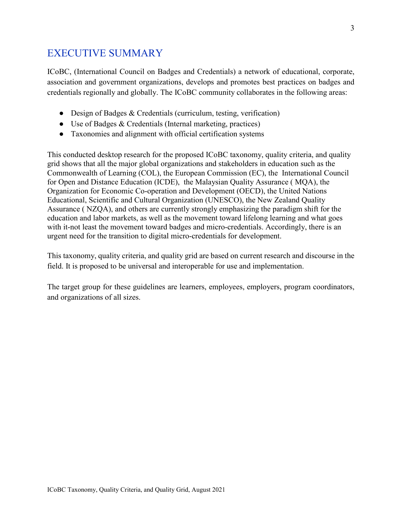### <span id="page-3-0"></span>EXECUTIVE SUMMARY

ICoBC, (International Council on Badges and Credentials) a network of educational, corporate, association and government organizations, develops and promotes best practices on badges and credentials regionally and globally. The ICoBC community collaborates in the following areas:

- Design of Badges & Credentials (curriculum, testing, verification)
- Use of Badges & Credentials (Internal marketing, practices)
- Taxonomies and alignment with official certification systems

This conducted desktop research for the proposed ICoBC taxonomy, quality criteria, and quality grid shows that all the major global organizations and stakeholders in education such as the Commonwealth of Learning (COL), the European Commission (EC), the International Council for Open and Distance Education (ICDE), the Malaysian Quality Assurance ( MQA), the Organization for Economic Co-operation and Development (OECD), the United Nations Educational, Scientific and Cultural Organization (UNESCO), the New Zealand Quality Assurance ( NZQA), and others are currently strongly emphasizing the paradigm shift for the education and labor markets, as well as the movement toward lifelong learning and what goes with it-not least the movement toward badges and micro-credentials. Accordingly, there is an urgent need for the transition to digital micro-credentials for development.

This taxonomy, quality criteria, and quality grid are based on current research and discourse in the field. It is proposed to be universal and interoperable for use and implementation.

The target group for these guidelines are learners, employees, employers, program coordinators, and organizations of all sizes.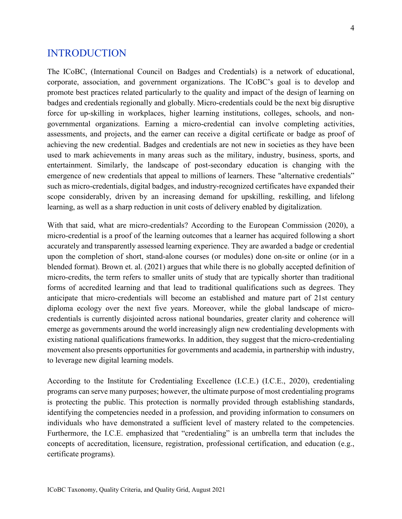#### <span id="page-4-0"></span>INTRODUCTION

The ICoBC, (International Council on Badges and Credentials) is a network of educational, corporate, association, and government organizations. The ICoBC's goal is to develop and promote best practices related particularly to the quality and impact of the design of learning on badges and credentials regionally and globally. Micro-credentials could be the next big disruptive force for up-skilling in workplaces, higher learning institutions, colleges, schools, and nongovernmental organizations. Earning a micro-credential can involve completing activities, assessments, and projects, and the earner can receive a digital certificate or badge as proof of achieving the new credential. Badges and credentials are not new in societies as they have been used to mark achievements in many areas such as the military, industry, business, sports, and entertainment. Similarly, the landscape of post-secondary education is changing with the emergence of new credentials that appeal to millions of learners. These "alternative credentials" such as micro-credentials, digital badges, and industry-recognized certificates have expanded their scope considerably, driven by an increasing demand for upskilling, reskilling, and lifelong learning, as well as a sharp reduction in unit costs of delivery enabled by digitalization.

With that said, what are micro-credentials? According to the European Commission (2020), a micro-credential is a proof of the learning outcomes that a learner has acquired following a short accurately and transparently assessed learning experience. They are awarded a badge or credential upon the completion of short, stand-alone courses (or modules) done on-site or online (or in a blended format). Brown et. al. (2021) argues that while there is no globally accepted definition of micro-credits, the term refers to smaller units of study that are typically shorter than traditional forms of accredited learning and that lead to traditional qualifications such as degrees. They anticipate that micro-credentials will become an established and mature part of 21st century diploma ecology over the next five years. Moreover, while the global landscape of microcredentials is currently disjointed across national boundaries, greater clarity and coherence will emerge as governments around the world increasingly align new credentialing developments with existing national qualifications frameworks. In addition, they suggest that the micro-credentialing movement also presents opportunities for governments and academia, in partnership with industry, to leverage new digital learning models.

According to the Institute for Credentialing Excellence (I.C.E.) (I.C.E., 2020), credentialing programs can serve many purposes; however, the ultimate purpose of most credentialing programs is protecting the public. This protection is normally provided through establishing standards, identifying the competencies needed in a profession, and providing information to consumers on individuals who have demonstrated a sufficient level of mastery related to the competencies. Furthermore, the I.C.E. emphasized that "credentialing" is an umbrella term that includes the concepts of accreditation, licensure, registration, professional certification, and education (e.g., certificate programs).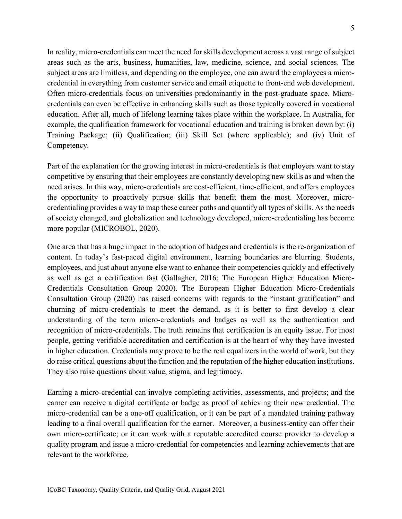In reality, micro-credentials can meet the need for skills development across a vast range of subject areas such as the arts, business, humanities, law, medicine, science, and social sciences. The subject areas are limitless, and depending on the employee, one can award the employees a microcredential in everything from customer service and email etiquette to front-end web development. Often micro-credentials focus on universities predominantly in the post-graduate space. Microcredentials can even be effective in enhancing skills such as those typically covered in vocational education. After all, much of lifelong learning takes place within the workplace. In Australia, for example, the qualification framework for vocational education and training is broken down by: (i) Training Package; (ii) Qualification; (iii) Skill Set (where applicable); and (iv) Unit of Competency.

Part of the explanation for the growing interest in micro-credentials is that employers want to stay competitive by ensuring that their employees are constantly developing new skills as and when the need arises. In this way, micro-credentials are cost-efficient, time-efficient, and offers employees the opportunity to proactively pursue skills that benefit them the most. Moreover, microcredentialing provides a way to map these career paths and quantify all types of skills. As the needs of society changed, and globalization and technology developed, micro-credentialing has become more popular (MICROBOL, 2020).

One area that has a huge impact in the adoption of badges and credentials is the re-organization of content. In today's fast-paced digital environment, learning boundaries are blurring. Students, employees, and just about anyone else want to enhance their competencies quickly and effectively as well as get a certification fast (Gallagher, 2016; The European Higher Education Micro-Credentials Consultation Group 2020). The European Higher Education Micro-Credentials Consultation Group (2020) has raised concerns with regards to the "instant gratification" and churning of micro-credentials to meet the demand, as it is better to first develop a clear understanding of the term micro-credentials and badges as well as the authentication and recognition of micro-credentials. The truth remains that certification is an equity issue. For most people, getting verifiable accreditation and certification is at the heart of why they have invested in higher education. Credentials may prove to be the real equalizers in the world of work, but they do raise critical questions about the function and the reputation of the higher education institutions. They also raise questions about value, stigma, and legitimacy.

Earning a micro-credential can involve completing activities, assessments, and projects; and the earner can receive a digital certificate or badge as proof of achieving their new credential. The micro-credential can be a one-off qualification, or it can be part of a mandated training pathway leading to a final overall qualification for the earner. Moreover, a business-entity can offer their own micro-certificate; or it can work with a reputable accredited course provider to develop a quality program and issue a micro-credential for competencies and learning achievements that are relevant to the workforce.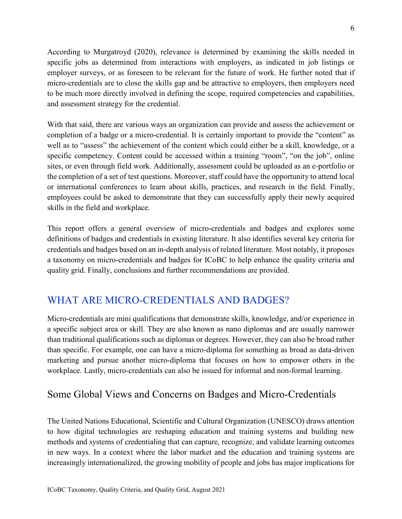According to Murgatroyd (2020), relevance is determined by examining the skills needed in specific jobs as determined from interactions with employers, as indicated in job listings or employer surveys, or as foreseen to be relevant for the future of work. He further noted that if micro-credentials are to close the skills gap and be attractive to employers, then employers need to be much more directly involved in defining the scope, required competencies and capabilities, and assessment strategy for the credential.

With that said, there are various ways an organization can provide and assess the achievement or completion of a badge or a micro-credential. It is certainly important to provide the "content" as well as to "assess" the achievement of the content which could either be a skill, knowledge, or a specific competency. Content could be accessed within a training "room", "on the job", online sites, or even through field work. Additionally, assessment could be uploaded as an e-portfolio or the completion of a set of test questions. Moreover, staff could have the opportunity to attend local or international conferences to learn about skills, practices, and research in the field. Finally, employees could be asked to demonstrate that they can successfully apply their newly acquired skills in the field and workplace.

This report offers a general overview of micro-credentials and badges and explores some definitions of badges and credentials in existing literature. It also identifies several key criteria for credentials and badges based on an in-depth analysis of related literature. Most notably, it proposes a taxonomy on micro-credentials and badges for ICoBC to help enhance the quality criteria and quality grid. Finally, conclusions and further recommendations are provided.

## <span id="page-6-0"></span>WHAT ARE MICRO-CREDENTIALS AND BADGES?

Micro-credentials are mini qualifications that demonstrate skills, knowledge, and/or experience in a specific subject area or skill. They are also known as nano diplomas and are usually narrower than traditional qualifications such as diplomas or degrees. However, they can also be broad rather than specific. For example, one can have a micro-diploma for something as broad as data-driven marketing and pursue another micro-diploma that focuses on how to empower others in the workplace. Lastly, micro-credentials can also be issued for informal and non-formal learning.

## <span id="page-6-1"></span>Some Global Views and Concerns on Badges and Micro-Credentials

The United Nations Educational, Scientific and Cultural Organization (UNESCO) draws attention to how digital technologies are reshaping education and training systems and building new methods and systems of credentialing that can capture, recognize, and validate learning outcomes in new ways. In a context where the labor market and the education and training systems are increasingly internationalized, the growing mobility of people and jobs has major implications for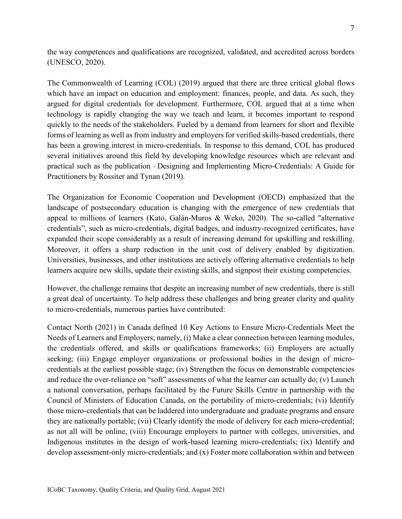the way competences and qualifications are recognized, validated, and accredited across borders (UNESCO, 2020).

The Commonwealth of Learning (COL) (2019) argued that there are three critical global flows which have an impact on education and employment: finances, people, and data. As such, they argued for digital credentials for development. Furthermore, COL argued that at a time when technology is rapidly changing the way we teach and learn, it becomes important to respond quickly to the needs of the stakeholders. Fueled by a demand from learners for short and flexible forms of learning as well as from industry and employers for verified skills-based credentials, there has been a growing interest in micro-credentials. In response to this demand, COL has produced several initiatives around this field by developing knowledge resources which are relevant and practical such as the publication - Designing and Implementing Micro-Credentials: A Guide for Practitioners by Rossiter and Tynan (2019).

The Organization for Economic Cooperation and Development (OECD) emphasized that the landscape of postsecondary education is changing with the emergence of new credentials that appeal to millions of learners (Kato, Galán-Muros & Weko, 2020). The so-called "alternative credentials", such as micro-credentials, digital badges, and industry-recognized certificates, have expanded their scope considerably as a result of increasing demand for upskilling and reskilling. Moreover, it offers a sharp reduction in the unit cost of delivery enabled by digitization. Universities, businesses, and other institutions are actively offering alternative credentials to help learners acquire new skills, update their existing skills, and signpost their existing competencies.

However, the challenge remains that despite an increasing number of new credentials, there is still a great deal of uncertainty. To help address these challenges and bring greater clarity and quality to micro-credentials, numerous parties have contributed:

Contact North (2021) in Canada defined 10 Key Actions to Ensure Micro-Credentials Meet the Needs of Learners and Employers; namely, (i) Make a clear connection between learning modules, the credentials offered, and skills or qualifications frameworks; (ii) Employers are actually seeking; (iii) Engage employer organizations or professional bodies in the design of microcredentials at the earliest possible stage; (iv) Strengthen the focus on demonstrable competencies and reduce the over-reliance on "soft" assessments of what the learner can actually do; (v) Launch a national conversation, perhaps facilitated by the Future Skills Centre in partnership with the Council of Ministers of Education Canada, on the portability of micro-credentials; (vi) Identify those micro-credentials that can be laddered into undergraduate and graduate programs and ensure they are nationally portable; (vii) Clearly identify the mode of delivery for each micro-credential; as not all will be online, (viii) Encourage employers to partner with colleges, universities, and Indigenous institutes in the design of work-based learning micro-credentials; (ix) Identify and develop assessment-only micro-credentials; and (x) Foster more collaboration within and between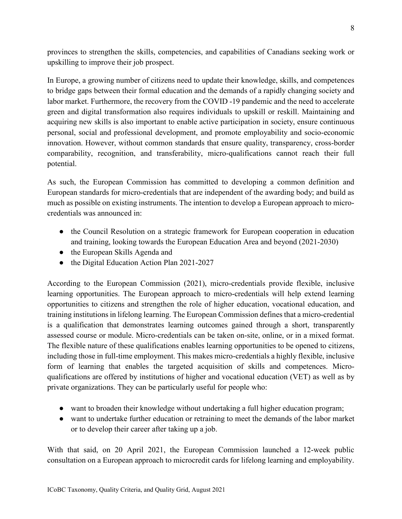provinces to strengthen the skills, competencies, and capabilities of Canadians seeking work or upskilling to improve their job prospect.

In Europe, a growing number of citizens need to update their knowledge, skills, and competences to bridge gaps between their formal education and the demands of a rapidly changing society and labor market. Furthermore, the recovery from the COVID -19 pandemic and the need to accelerate green and digital transformation also requires individuals to upskill or reskill. Maintaining and acquiring new skills is also important to enable active participation in society, ensure continuous personal, social and professional development, and promote employability and socio-economic innovation. However, without common standards that ensure quality, transparency, cross-border comparability, recognition, and transferability, micro-qualifications cannot reach their full potential.

As such, the European Commission has committed to developing a common definition and European standards for micro-credentials that are independent of the awarding body; and build as much as possible on existing instruments. The intention to develop a European approach to microcredentials was announced in:

- the Council Resolution on a strategic framework for European cooperation in education and training, looking towards the European Education Area and beyond (2021-2030)
- the European Skills Agenda and
- the Digital Education Action Plan 2021-2027

According to the European Commission (2021), micro-credentials provide flexible, inclusive learning opportunities. The European approach to micro-credentials will help extend learning opportunities to citizens and strengthen the role of higher education, vocational education, and training institutions in lifelong learning. The European Commission defines that a micro-credential is a qualification that demonstrates learning outcomes gained through a short, transparently assessed course or module. Micro-credentials can be taken on-site, online, or in a mixed format. The flexible nature of these qualifications enables learning opportunities to be opened to citizens, including those in full-time employment. This makes micro-credentials a highly flexible, inclusive form of learning that enables the targeted acquisition of skills and competences. Microqualifications are offered by institutions of higher and vocational education (VET) as well as by private organizations. They can be particularly useful for people who:

- want to broaden their knowledge without undertaking a full higher education program;
- want to undertake further education or retraining to meet the demands of the labor market or to develop their career after taking up a job.

With that said, on 20 April 2021, the European Commission launched a 12-week public consultation on a European approach to microcredit cards for lifelong learning and employability.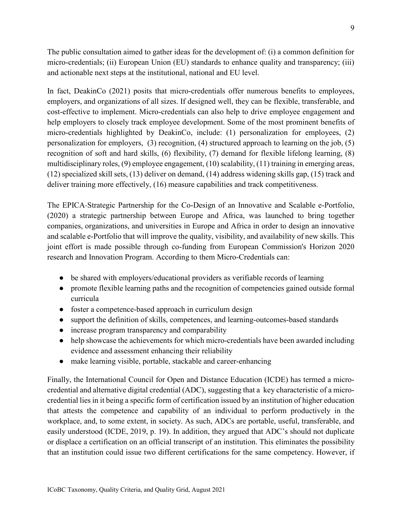The public consultation aimed to gather ideas for the development of: (i) a common definition for micro-credentials; (ii) European Union (EU) standards to enhance quality and transparency; (iii) and actionable next steps at the institutional, national and EU level.

In fact, DeakinCo (2021) posits that micro-credentials offer numerous benefits to employees, employers, and organizations of all sizes. If designed well, they can be flexible, transferable, and cost-effective to implement. Micro-credentials can also help to drive employee engagement and help employers to closely track employee development. Some of the most prominent benefits of micro-credentials highlighted by DeakinCo, include: (1) personalization for employees, (2) personalization for employers, (3) recognition, (4) structured approach to learning on the job, (5) recognition of soft and hard skills, (6) flexibility, (7) demand for flexible lifelong learning, (8) multidisciplinary roles, (9) employee engagement, (10) scalability, (11) training in emerging areas, (12) specialized skill sets, (13) deliver on demand, (14) address widening skills gap, (15) track and deliver training more effectively, (16) measure capabilities and track competitiveness.

The EPICA-Strategic Partnership for the Co-Design of an Innovative and Scalable e-Portfolio, (2020) a strategic partnership between Europe and Africa, was launched to bring together companies, organizations, and universities in Europe and Africa in order to design an innovative and scalable e-Portfolio that will improve the quality, visibility, and availability of new skills. This joint effort is made possible through co-funding from European Commission's Horizon 2020 research and Innovation Program. According to them Micro-Credentials can:

- be shared with employers/educational providers as verifiable records of learning
- promote flexible learning paths and the recognition of competencies gained outside formal curricula
- foster a competence-based approach in curriculum design
- support the definition of skills, competences, and learning-outcomes-based standards
- increase program transparency and comparability
- help showcase the achievements for which micro-credentials have been awarded including evidence and assessment enhancing their reliability
- make learning visible, portable, stackable and career-enhancing

Finally, the International Council for Open and Distance Education (ICDE) has termed a microcredential and alternative digital credential (ADC), suggesting that a key characteristic of a microcredential lies in it being a specific form of certification issued by an institution of higher education that attests the competence and capability of an individual to perform productively in the workplace, and, to some extent, in society. As such, ADCs are portable, useful, transferable, and easily understood (ICDE, 2019, p. 19). In addition, they argued that ADC's should not duplicate or displace a certification on an official transcript of an institution. This eliminates the possibility that an institution could issue two different certifications for the same competency. However, if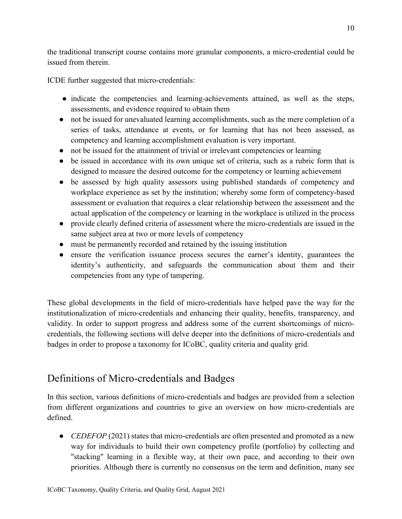the traditional transcript course contains more granular components, a micro-credential could be issued from therein.

ICDE further suggested that micro-credentials:

- indicate the competencies and learning-achievements attained, as well as the steps, assessments, and evidence required to obtain them
- not be issued for unevaluated learning accomplishments, such as the mere completion of a series of tasks, attendance at events, or for learning that has not been assessed, as competency and learning accomplishment evaluation is very important.
- not be issued for the attainment of trivial or irrelevant competencies or learning
- be issued in accordance with its own unique set of criteria, such as a rubric form that is designed to measure the desired outcome for the competency or learning achievement
- be assessed by high quality assessors using published standards of competency and workplace experience as set by the institution; whereby some form of competency-based assessment or evaluation that requires a clear relationship between the assessment and the actual application of the competency or learning in the workplace is utilized in the process
- provide clearly defined criteria of assessment where the micro-credentials are issued in the same subject area at two or more levels of competency
- must be permanently recorded and retained by the issuing institution
- ensure the verification issuance process secures the earner's identity, guarantees the identity's authenticity, and safeguards the communication about them and their competencies from any type of tampering.

These global developments in the field of micro-credentials have helped pave the way for the institutionalization of micro-credentials and enhancing their quality, benefits, transparency, and validity. In order to support progress and address some of the current shortcomings of microcredentials, the following sections will delve deeper into the definitions of micro-credentials and badges in order to propose a taxonomy for ICoBC, quality criteria and quality grid.

## <span id="page-10-0"></span>Definitions of Micro-credentials and Badges

In this section, various definitions of micro-credentials and badges are provided from a selection from different organizations and countries to give an overview on how micro-credentials are defined.

• *CEDEFOP* (2021) states that micro-credentials are often presented and promoted as a new way for individuals to build their own competency profile (portfolio) by collecting and "stacking" learning in a flexible way, at their own pace, and according to their own priorities. Although there is currently no consensus on the term and definition, many see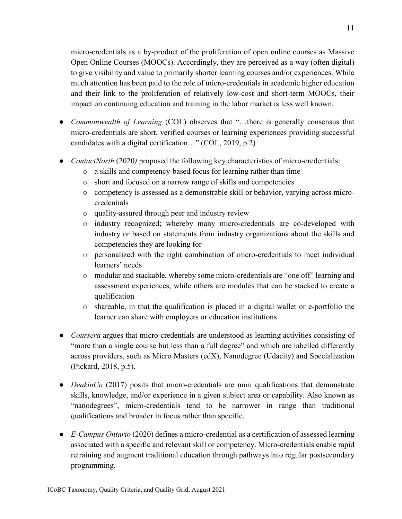micro-credentials as a by-product of the proliferation of open online courses as Massive Open Online Courses (MOOCs). Accordingly, they are perceived as a way (often digital) to give visibility and value to primarily shorter learning courses and/or experiences. While much attention has been paid to the role of micro-credentials in academic higher education and their link to the proliferation of relatively low-cost and short-term MOOCs, their impact on continuing education and training in the labor market is less well known.

- *Commonwealth of Learning* (COL) observes that "...there is generally consensus that micro-credentials are short, verified courses or learning experiences providing successful candidates with a digital certification…" (COL, 2019, p.2)
- *ContactNorth* (2020*)* proposed the following key characteristics of micro-credentials:
	- o a skills and competency-based focus for learning rather than time
	- o short and focused on a narrow range of skills and competencies
	- o competency is assessed as a demonstrable skill or behavior, varying across microcredentials
	- o quality-assured through peer and industry review
	- o industry recognized; whereby many micro-credentials are co-developed with industry or based on statements from industry organizations about the skills and competencies they are looking for
	- o personalized with the right combination of micro-credentials to meet individual learners' needs
	- o modular and stackable, whereby some micro-credentials are "one off" learning and assessment experiences, while others are modules that can be stacked to create a qualification
	- o shareable, in that the qualification is placed in a digital wallet or e-portfolio the learner can share with employers or education institutions
- *Coursera* argues that micro-credentials are understood as learning activities consisting of "more than a single course but less than a full degree" and which are labelled differently across providers, such as Micro Masters (edX), Nanodegree (Udacity) and Specialization (Pickard, 2018, p.5).
- *DeakinCo* (2017) posits that micro-credentials are mini qualifications that demonstrate skills, knowledge, and/or experience in a given subject area or capability. Also known as "nanodegrees", micro-credentials tend to be narrower in range than traditional qualifications and broader in focus rather than specific.
- *E-Campus Ontario* (2020) defines a micro-credential as a certification of assessed learning associated with a specific and relevant skill or competency. Micro-credentials enable rapid retraining and augment traditional education through pathways into regular postsecondary programming.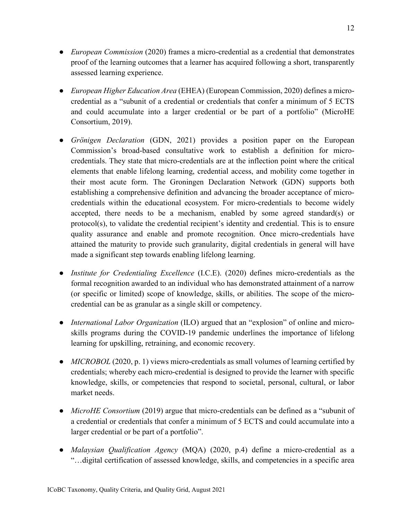- *European Commission* (2020) frames a micro-credential as a credential that demonstrates proof of the learning outcomes that a learner has acquired following a short, transparently assessed learning experience.
- *European Higher Education Area* (EHEA) (European Commission, 2020) defines a microcredential as a "subunit of a credential or credentials that confer a minimum of 5 ECTS and could accumulate into a larger credential or be part of a portfolio" (MicroHE Consortium, 2019).
- *Grönigen Declaration* (GDN, 2021) provides a position paper on the European Commission's broad-based consultative work to establish a definition for microcredentials. They state that micro-credentials are at the inflection point where the critical elements that enable lifelong learning, credential access, and mobility come together in their most acute form. The Groningen Declaration Network (GDN) supports both establishing a comprehensive definition and advancing the broader acceptance of microcredentials within the educational ecosystem. For micro-credentials to become widely accepted, there needs to be a mechanism, enabled by some agreed standard(s) or protocol(s), to validate the credential recipient's identity and credential. This is to ensure quality assurance and enable and promote recognition. Once micro-credentials have attained the maturity to provide such granularity, digital credentials in general will have made a significant step towards enabling lifelong learning.
- *Institute for Credentialing Excellence* (I.C.E). (2020) defines micro-credentials as the formal recognition awarded to an individual who has demonstrated attainment of a narrow (or specific or limited) scope of knowledge, skills, or abilities. The scope of the microcredential can be as granular as a single skill or competency.
- *International Labor Organization* (ILO) argued that an "explosion" of online and microskills programs during the COVID-19 pandemic underlines the importance of lifelong learning for upskilling, retraining, and economic recovery.
- *MICROBOL* (2020, p. 1) views micro-credentials as small volumes of learning certified by credentials; whereby each micro-credential is designed to provide the learner with specific knowledge, skills, or competencies that respond to societal, personal, cultural, or labor market needs.
- *MicroHE Consortium* (2019) argue that micro-credentials can be defined as a "subunit of a credential or credentials that confer a minimum of 5 ECTS and could accumulate into a larger credential or be part of a portfolio".
- *Malaysian Qualification Agency* (MQA) (2020, p.4) define a micro-credential as a "…digital certification of assessed knowledge, skills, and competencies in a specific area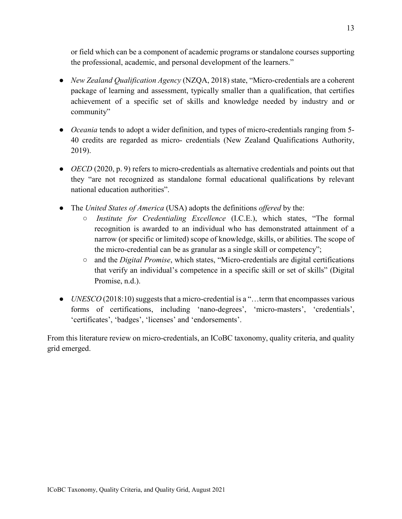or field which can be a component of academic programs or standalone courses supporting the professional, academic, and personal development of the learners."

- *New Zealand Qualification Agency* (NZQA, 2018) state, "Micro-credentials are a coherent package of learning and assessment, typically smaller than a qualification, that certifies achievement of a specific set of skills and knowledge needed by industry and or community"
- *Oceania* tends to adopt a wider definition, and types of micro-credentials ranging from 5-40 credits are regarded as micro- credentials (New Zealand Qualifications Authority, 2019).
- *OECD* (2020, p. 9) refers to micro-credentials as alternative credentials and points out that they "are not recognized as standalone formal educational qualifications by relevant national education authorities".
- The *United States of America* (USA) adopts the definitions *offered* by the:
	- *Institute for Credentialing Excellence* (I.C.E.), which states, "The formal recognition is awarded to an individual who has demonstrated attainment of a narrow (or specific or limited) scope of knowledge, skills, or abilities. The scope of the micro-credential can be as granular as a single skill or competency";
	- and the *Digital Promise*, which states, "Micro-credentials are digital certifications that verify an individual's competence in a specific skill or set of skills" (Digital Promise, n.d.).
- *UNESCO* (2018:10) suggests that a micro-credential is a "...term that encompasses various forms of certifications, including 'nano-degrees', 'micro-masters', 'credentials', 'certificates', 'badges', 'licenses' and 'endorsements'.

<span id="page-13-0"></span>From this literature review on micro-credentials, an ICoBC taxonomy, quality criteria, and quality grid emerged.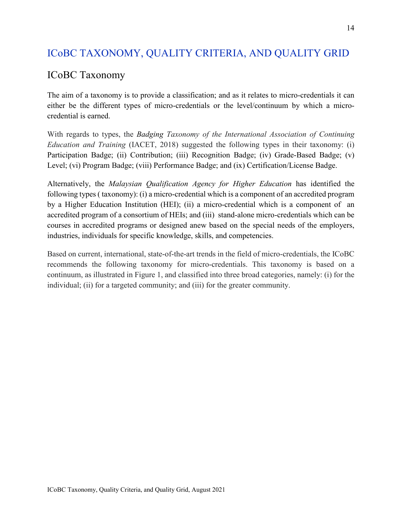## ICoBC TAXONOMY, QUALITY CRITERIA, AND QUALITY GRID

### <span id="page-14-0"></span>ICoBC Taxonomy

The aim of a taxonomy is to provide a classification; and as it relates to micro-credentials it can either be the different types of micro-credentials or the level/continuum by which a microcredential is earned.

With regards to types, the *Badging Taxonomy of the International Association of Continuing Education and Training* (IACET, 2018) suggested the following types in their taxonomy: (i) Participation Badge; (ii) Contribution; (iii) Recognition Badge; (iv) Grade-Based Badge; (v) Level; (vi) Program Badge; (viii) Performance Badge; and (ix) Certification/License Badge.

Alternatively, the *Malaysian Qualification Agency for Higher Education* has identified the following types ( taxonomy): (i) a micro-credential which is a component of an accredited program by a Higher Education Institution (HEI); (ii) a micro-credential which is a component of an accredited program of a consortium of HEIs; and (iii) stand-alone micro-credentials which can be courses in accredited programs or designed anew based on the special needs of the employers, industries, individuals for specific knowledge, skills, and competencies.

Based on current, international, state-of-the-art trends in the field of micro-credentials, the ICoBC recommends the following taxonomy for micro-credentials. This taxonomy is based on a continuum, as illustrated in Figure 1, and classified into three broad categories, namely: (i) for the individual; (ii) for a targeted community; and (iii) for the greater community.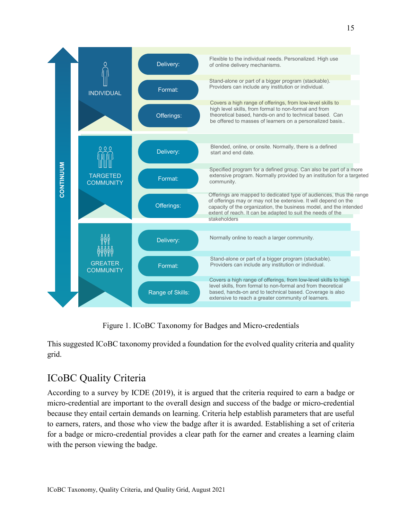

Figure 1. ICoBC Taxonomy for Badges and Micro-credentials

This suggested ICoBC taxonomy provided a foundation for the evolved quality criteria and quality grid.

## <span id="page-15-0"></span>ICoBC Quality Criteria

According to a survey by ICDE (2019), it is argued that the criteria required to earn a badge or micro-credential are important to the overall design and success of the badge or micro-credential because they entail certain demands on learning. Criteria help establish parameters that are useful to earners, raters, and those who view the badge after it is awarded. Establishing a set of criteria for a badge or micro-credential provides a clear path for the earner and creates a learning claim with the person viewing the badge.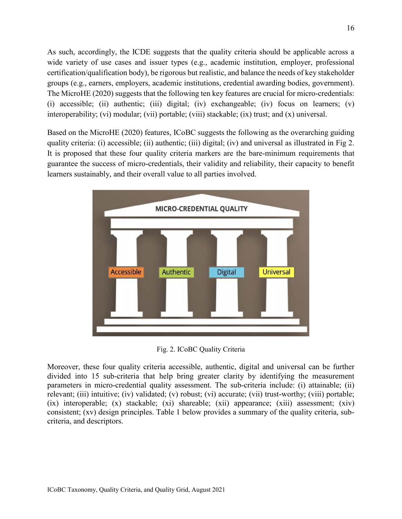As such, accordingly, the ICDE suggests that the quality criteria should be applicable across a wide variety of use cases and issuer types (e.g., academic institution, employer, professional certification/qualification body), be rigorous but realistic, and balance the needs of key stakeholder groups (e.g., earners, employers, academic institutions, credential awarding bodies, government). The MicroHE (2020) suggests that the following ten key features are crucial for micro-credentials: (i) accessible; (ii) authentic; (iii) digital; (iv) exchangeable; (iv) focus on learners; (v) interoperability; (vi) modular; (vii) portable; (viii) stackable; (ix) trust; and (x) universal.

Based on the MicroHE (2020) features, ICoBC suggests the following as the overarching guiding quality criteria: (i) accessible; (ii) authentic; (iii) digital; (iv) and universal as illustrated in Fig 2. It is proposed that these four quality criteria markers are the bare-minimum requirements that guarantee the success of micro-credentials, their validity and reliability, their capacity to benefit learners sustainably, and their overall value to all parties involved.



Fig. 2. ICoBC Quality Criteria

Moreover, these four quality criteria accessible, authentic, digital and universal can be further divided into 15 sub-criteria that help bring greater clarity by identifying the measurement parameters in micro-credential quality assessment. The sub-criteria include: (i) attainable; (ii) relevant; (iii) intuitive; (iv) validated; (v) robust; (vi) accurate; (vii) trust-worthy; (viii) portable; (ix) interoperable; (x) stackable; (xi) shareable; (xii) appearance; (xiii) assessment; (xiv) consistent; (xv) design principles. Table 1 below provides a summary of the quality criteria, subcriteria, and descriptors.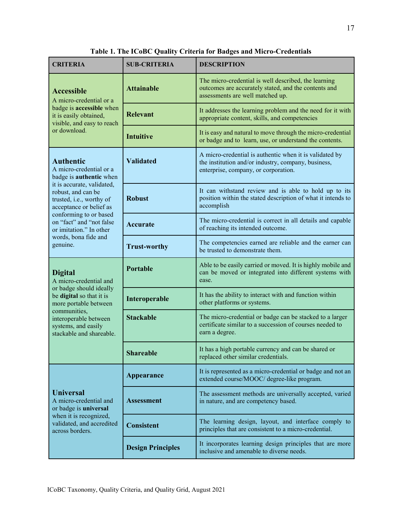| <b>CRITERIA</b>                                                                                                                                                                                                                                                                                               | <b>SUB-CRITERIA</b>      | <b>DESCRIPTION</b>                                                                                                                                     |  |  |
|---------------------------------------------------------------------------------------------------------------------------------------------------------------------------------------------------------------------------------------------------------------------------------------------------------------|--------------------------|--------------------------------------------------------------------------------------------------------------------------------------------------------|--|--|
| <b>Accessible</b><br>A micro-credential or a<br>badge is <b>accessible</b> when<br>it is easily obtained,<br>visible, and easy to reach                                                                                                                                                                       | <b>Attainable</b>        | The micro-credential is well described, the learning<br>outcomes are accurately stated, and the contents and<br>assessments are well matched up.       |  |  |
|                                                                                                                                                                                                                                                                                                               | <b>Relevant</b>          | It addresses the learning problem and the need for it with<br>appropriate content, skills, and competencies                                            |  |  |
| or download.                                                                                                                                                                                                                                                                                                  | <b>Intuitive</b>         | It is easy and natural to move through the micro-credential<br>or badge and to learn, use, or understand the contents.                                 |  |  |
| <b>Authentic</b><br>A micro-credential or a<br>badge is <b>authentic</b> when<br>it is accurate, validated,<br>robust, and can be<br>trusted, i.e., worthy of<br>acceptance or belief as<br>conforming to or based<br>on "fact" and "not false<br>or imitation." In other<br>words, bona fide and<br>genuine. | <b>Validated</b>         | A micro-credential is authentic when it is validated by<br>the institution and/or industry, company, business,<br>enterprise, company, or corporation. |  |  |
|                                                                                                                                                                                                                                                                                                               | <b>Robust</b>            | It can withstand review and is able to hold up to its<br>position within the stated description of what it intends to<br>accomplish                    |  |  |
|                                                                                                                                                                                                                                                                                                               | <b>Accurate</b>          | The micro-credential is correct in all details and capable<br>of reaching its intended outcome.                                                        |  |  |
|                                                                                                                                                                                                                                                                                                               | <b>Trust-worthy</b>      | The competencies earned are reliable and the earner can<br>be trusted to demonstrate them.                                                             |  |  |
| <b>Digital</b><br>A micro-credential and<br>or badge should ideally<br>be digital so that it is<br>more portable between<br>communities,<br>interoperable between<br>systems, and easily<br>stackable and shareable.                                                                                          | <b>Portable</b>          | Able to be easily carried or moved. It is highly mobile and<br>can be moved or integrated into different systems with<br>ease.                         |  |  |
|                                                                                                                                                                                                                                                                                                               | Interoperable            | It has the ability to interact with and function within<br>other platforms or systems.                                                                 |  |  |
|                                                                                                                                                                                                                                                                                                               | <b>Stackable</b>         | The micro-credential or badge can be stacked to a larger<br>certificate similar to a succession of courses needed to<br>earn a degree.                 |  |  |
|                                                                                                                                                                                                                                                                                                               | <b>Shareable</b>         | It has a high portable currency and can be shared or<br>replaced other similar credentials.                                                            |  |  |
| <b>Universal</b><br>A micro-credential and<br>or badge is universal<br>when it is recognized,<br>validated, and accredited<br>across borders.                                                                                                                                                                 | Appearance               | It is represented as a micro-credential or badge and not an<br>extended course/MOOC/ degree-like program.                                              |  |  |
|                                                                                                                                                                                                                                                                                                               | <b>Assessment</b>        | The assessment methods are universally accepted, varied<br>in nature, and are competency based.                                                        |  |  |
|                                                                                                                                                                                                                                                                                                               | <b>Consistent</b>        | The learning design, layout, and interface comply to<br>principles that are consistent to a micro-credential.                                          |  |  |
|                                                                                                                                                                                                                                                                                                               | <b>Design Principles</b> | It incorporates learning design principles that are more<br>inclusive and amenable to diverse needs.                                                   |  |  |

**Table 1. The ICoBC Quality Criteria for Badges and Micro-Credentials**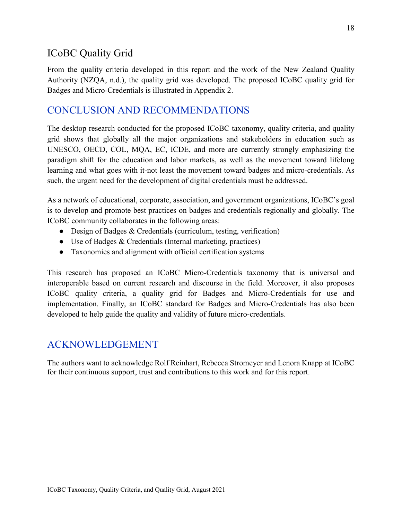### <span id="page-18-0"></span>ICoBC Quality Grid

From the quality criteria developed in this report and the work of the New Zealand Quality Authority (NZQA, n.d.), the quality grid was developed. The proposed ICoBC quality grid for Badges and Micro-Credentials is illustrated in Appendix 2.

#### <span id="page-18-1"></span>CONCLUSION AND RECOMMENDATIONS

The desktop research conducted for the proposed ICoBC taxonomy, quality criteria, and quality grid shows that globally all the major organizations and stakeholders in education such as UNESCO, OECD, COL, MQA, EC, ICDE, and more are currently strongly emphasizing the paradigm shift for the education and labor markets, as well as the movement toward lifelong learning and what goes with it-not least the movement toward badges and micro-credentials. As such, the urgent need for the development of digital credentials must be addressed.

As a network of educational, corporate, association, and government organizations, ICoBC's goal is to develop and promote best practices on badges and credentials regionally and globally. The ICoBC community collaborates in the following areas:

- Design of Badges & Credentials (curriculum, testing, verification)
- Use of Badges & Credentials (Internal marketing, practices)
- Taxonomies and alignment with official certification systems

This research has proposed an ICoBC Micro-Credentials taxonomy that is universal and interoperable based on current research and discourse in the field. Moreover, it also proposes ICoBC quality criteria, a quality grid for Badges and Micro-Credentials for use and implementation. Finally, an ICoBC standard for Badges and Micro-Credentials has also been developed to help guide the quality and validity of future micro-credentials.

#### <span id="page-18-2"></span>ACKNOWLEDGEMENT

The authors want to acknowledge Rolf Reinhart, Rebecca Stromeyer and Lenora Knapp at ICoBC for their continuous support, trust and contributions to this work and for this report.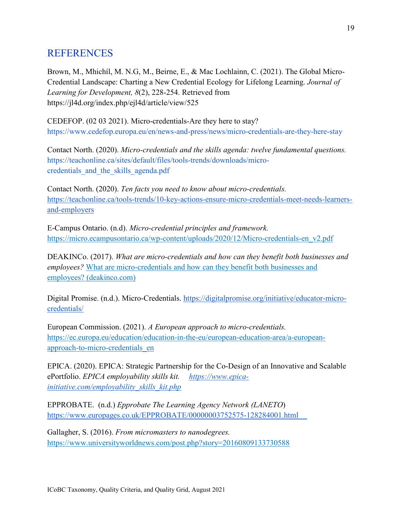### <span id="page-19-0"></span>**REFERENCES**

Brown, M., Mhichíl, M. N.G, M., Beirne, E., & Mac Lochlainn, C. (2021). The Global Micro-Credential Landscape: Charting a New Credential Ecology for Lifelong Learning. *Journal of Learning for Development, 8*(2), 228-254. Retrieved from https://jl4d.org/index.php/ejl4d/article/view/525

CEDEFOP. (02 03 2021). Micro-credentials-Are they here to stay? <https://www.cedefop.europa.eu/en/news-and-press/news/micro-credentials-are-they-here-stay>

Contact North. (2020). *Micro-credentials and the skills agenda: twelve fundamental questions.*  [https://teachonline.ca/sites/default/files/tools-trends/downloads/micro](https://teachonline.ca/sites/default/files/tools-trends/downloads/micro-credentials_and_the_skills_agenda.pdf)[credentials\\_and\\_the\\_skills\\_agenda.pdf](https://teachonline.ca/sites/default/files/tools-trends/downloads/micro-credentials_and_the_skills_agenda.pdf)

Contact North. (2020). *Ten facts you need to know about micro-credentials.*  [https://teachonline.ca/tools-trends/10-key-actions-ensure-micro-credentials-meet-needs-learners](https://teachonline.ca/tools-trends/10-key-actions-ensure-micro-credentials-meet-needs-learners-and-employers)[and-employers](https://teachonline.ca/tools-trends/10-key-actions-ensure-micro-credentials-meet-needs-learners-and-employers)

E-Campus Ontario. (n.d). *Micro-credential principles and framework.*  [https://micro.ecampusontario.ca/wp-content/uploads/2020/12/Micro-credentials-en\\_v2.pdf](https://micro.ecampusontario.ca/wp-content/uploads/2020/12/Micro-credentials-en_v2.pdf)

DEAKINCo. (2017). *[What are micro-credentials and how can they benefit both businesses and](https://www.deakinco.com/media-centre/article/Benefits-of-micro-credentials-for-business-and-employees)  [employees?](https://www.deakinco.com/media-centre/article/Benefits-of-micro-credentials-for-business-and-employees)* [What are micro-credentials and how can they benefit both businesses and](https://www.deakinco.com/media-centre/article/Benefits-of-micro-credentials-for-business-and-employees)  [employees? \(deakinco.com\)](https://www.deakinco.com/media-centre/article/Benefits-of-micro-credentials-for-business-and-employees)

Digital Promise. (n.d.). Micro-Credentials. [https://digitalpromise.org/initiative/educator-micro](https://digitalpromise.org/initiative/educator-micro-credentials/)[credentials/](https://digitalpromise.org/initiative/educator-micro-credentials/)

European Commission. (2021). *A European approach to micro-credentials.*  [https://ec.europa.eu/education/education-in-the-eu/european-education-area/a-european](https://ec.europa.eu/education/education-in-the-eu/european-education-area/a-european-approach-to-micro-credentials_en)[approach-to-micro-credentials\\_en](https://ec.europa.eu/education/education-in-the-eu/european-education-area/a-european-approach-to-micro-credentials_en)

EPICA. (2020). EPICA: Strategic Partnership for the Co-Design of an Innovative and Scalable ePortfolio. *EPICA employability skills kit. [https://www.epica](https://www.epica-initiative.com/employability_skills_kit.php)[initiative.com/employability\\_skills\\_kit.php](https://www.epica-initiative.com/employability_skills_kit.php)*

EPPROBATE. (n.d.) *Epprobate The Learning Agency Network (LANETO*) <https://www.europages.co.uk/EPPROBATE/00000003752575-128284001.html>

Gallagher, S. (2016). *From micromasters to nanodegrees[.](https://www.universityworldnews.com/post.php?story=20160809133730588)* <https://www.universityworldnews.com/post.php?story=20160809133730588>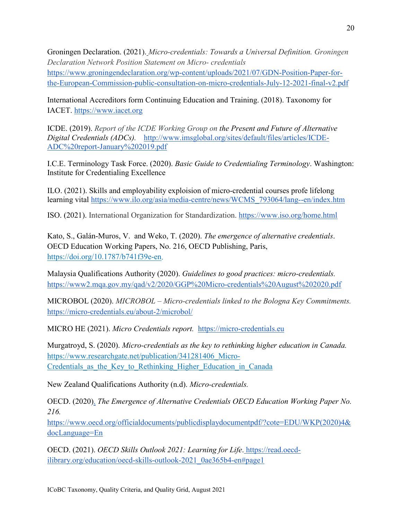Groningen Declaration. (2021). *Micro-credentials: Towards a Universal Definition. Groningen Declaration Network Position Statement on Micro- credentials* https://www.groningendeclaration.org/wp-content/uploads/2021/07/GDN-Position-Paper-forthe-European-Commission-public-consultation-on-micro-credentials-July-12-2021-final-v2.pdf

International Accreditors form Continuing Education and Training. (2018). Taxonomy for IACET. [https://www.iacet.org](https://www.iacet.org/)

ICDE. (2019). *Report of the ICDE Working Group on the Present and Future of Alternative Digital Credentials (ADCs).* [http://www.imsglobal.org/sites/default/files/articles/ICDE-](http://www.imsglobal.org/sites/default/files/articles/ICDE-ADC%20report-January%202019.pdf)[ADC%20report-January%202019.pdf](http://www.imsglobal.org/sites/default/files/articles/ICDE-ADC%20report-January%202019.pdf)

I.C.E. Terminology Task Force. (2020). *Basic Guide to Credentialing Terminology*. Washington: Institute for Credentialing Excellence

ILO. (2021). Skills and employability exploision of micro-credential courses profe lifelong learning vital [https://www.ilo.org/asia/media-centre/news/WCMS\\_793064/lang--en/index.htm](https://www.ilo.org/asia/media-centre/news/WCMS_793064/lang--en/index.htm)

ISO. (2021). International Organization for Standardization.<https://www.iso.org/home.html>

Kato, S., Galán-Muros, V. and Weko, T. (2020). *The emergence of alternative credentials*. OECD Education Working Papers, No. 216, OECD Publishing, Paris[,](https://doi.org/10.1787/b741f39e-en) [https://doi.org/10.1787/b741f39e-en.](https://doi.org/10.1787/b741f39e-en)

Malaysia Qualifications Authority (2020). *Guidelines to good practices: micro-credentials.* <https://www2.mqa.gov.my/qad/v2/2020/GGP%20Micro-credentials%20August%202020.pdf>

MICROBOL (2020). *MICROBOL – Micro-credentials linked to the Bologna Key Commitments.* [https://micro-credentials.eu/about-2/microbol/](https://microcredentials.eu/about-2/microbol/)

MICRO HE (2021). *Micro Credentials report.*[https://micro-credentials.eu](https://microcredentials.eu/)

Murgatroyd, S. (2020). *Micro-credentials as the key to rethinking higher education in Canada[.](https://www.researchgate.net/publication/341281406_Micro-Credentials_as_the_Key_to_Rethinking_Higher_Education_in_Canada)* [https://www.researchgate.net/publication/341281406\\_Micro-](https://www.researchgate.net/publication/341281406_Micro-Credentials_as_the_Key_to_Rethinking_Higher_Education_in_Canada)Credentials as the Key to Rethinking Higher Education in Canada

New Zealand Qualifications Authority (n.d). *Micro-credentials.* 

OECD. (2020). *The Emergence of Alternative Credentials OECD Education Working Paper No. 216.*

[https://www.oecd.org/officialdocuments/publicdisplaydocumentpdf/?cote=EDU/WKP\(2020\)4&](https://www.oecd.org/officialdocuments/publicdisplaydocumentpdf/?cote=EDU/WKP(2020)4&docLanguage=En) [docLanguage=En](https://www.oecd.org/officialdocuments/publicdisplaydocumentpdf/?cote=EDU/WKP(2020)4&docLanguage=En)

OECD. (2021). *OECD Skills Outlook 2021: Learning for Life*. https://read.oecdilibrary.org/education/oecd-skills-outlook-2021\_0ae365b4-en#page1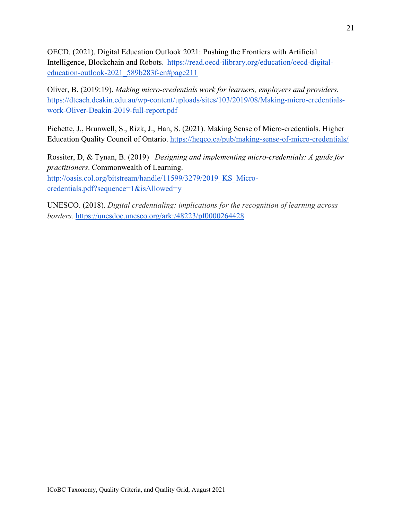OECD. (2021). Digital Education Outlook 2021: Pushing the Frontiers with Artificial Intelligence, Blockchain and Robots. https://read.oecd-ilibrary.org/education/oecd-digitaleducation-outlook-2021\_589b283f-en#page211

Oliver, B. (2019:19). *Making micro-credentials work for learners, employers and providers.*  [https://dteach.deakin.edu.au/wp-content/uploads/sites/103/2019/08/Making-micro-credentials](https://dteach.deakin.edu.au/wp-content/uploads/sites/103/2019/08/Making-micro-credentials-work-Oliver-Deakin-2019-full-report.pdf)[work-Oliver-Deakin-2019-full-report.pdf](https://dteach.deakin.edu.au/wp-content/uploads/sites/103/2019/08/Making-micro-credentials-work-Oliver-Deakin-2019-full-report.pdf)

Pichette, J., Brunwell, S., Rizk, J., Han, S. (2021). Making Sense of Micro-credentials. Higher Education Quality Council of Ontario. [https://heqco.ca/pub/making-sense-of-micro-credentials/](https://heqco.ca/pub/making-sense-of-microcredentials/)

Rossiter, D, & Tynan, B. (2019) *[Designing and implementing micro-credentials: A guide for](http://hdl.handle.net/11599/3279)  [practitioners](http://hdl.handle.net/11599/3279)*. Commonwealth of Learning. http://oasis.col.org/bitstream/handle/11599/3279/2019 KS Micro[credentials.pdf?sequence=1&isAllowed=y](http://oasis.col.org/bitstream/handle/11599/3279/2019_KS_Micro-credentials.pdf?sequence=1&isAllowed=y)

<span id="page-21-0"></span>UNESCO. (2018). *Digital credentialing: implications for the recognition of learning across borders.* <https://unesdoc.unesco.org/ark:/48223/pf0000264428>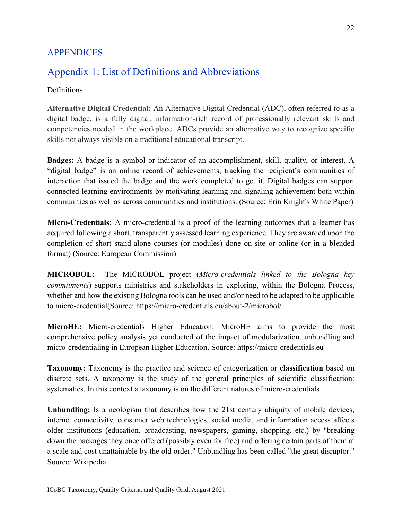#### APPENDICES

### <span id="page-22-0"></span>Appendix 1: List of Definitions and Abbreviations

#### Definitions

**Alternative Digital Credential:** An Alternative Digital Credential (ADC), often referred to as a digital badge, is a fully digital, information-rich record of professionally relevant skills and competencies needed in the workplace. ADCs provide an alternative way to recognize specific skills not always visible on a traditional educational transcript.

**Badges:** A badge is a symbol or indicator of an accomplishment, skill, quality, or interest. A "digital badge" is an online record of achievements, tracking the recipient's communities of interaction that issued the badge and the work completed to get it. Digital badges can support connected learning environments by motivating learning and signaling achievement both within communities as well as across communities and institutions. (Source: [Erin Knight's White Paper\)](http://bit.ly/EKwhitepaper)

**Micro-Credentials:** A micro-credential is a proof of the learning outcomes that a learner has acquired following a short, transparently assessed learning experience. They are awarded upon the completion of short stand-alone courses (or modules) done on-site or online (or in a blended format) (Source: [European Commission\)](https://ec.europa.eu/education/education-in-the-eu/european-education-area/a-european-approach-to-micro-credentials_en)

**MICROBOL:** The MICROBOL project (*Micro-credentials linked to the Bologna key commitments*) supports ministries and stakeholders in exploring, within the Bologna Process, whether and how the existing Bologna tools can be used and/or need to be adapted to be applicable to micro-credential(Source: [https://micro-credentials.eu/about-2/microbol/](https://microcredentials.eu/about-2/microbol/)

**MicroHE:** Micro-credentials Higher Education: MicroHE aims to provide the most comprehensive policy analysis yet conducted of the impact of modularization, unbundling and micro-credentialing in European Higher Education. Source: [https://micro-credentials.eu](https://microcredentials.eu/)

**Taxonomy:** Taxonomy is the practice and science of categorization or **classification** based on discrete sets. A taxonomy is the study of the general principles of scientific classification: systematics. In this context a taxonomy is on the different natures of micro-credentials

**Unbundling:** Is a neologism that describes how the 21st century ubiquity of mobile devices, internet connectivity, consumer web technologies, social media, and information access affects older institutions (education, broadcasting, newspapers, gaming, shopping, etc.) by "breaking down the packages they once offered (possibly even for free) and offering certain parts of them at a scale and cost unattainable by the old order." Unbundling has been called "the great disruptor." Source: [Wikipedia](https://docs.google.com/document/d/1x_LHpT2aU-WhJUnk5BVZJomB8I0dOpS7/edit)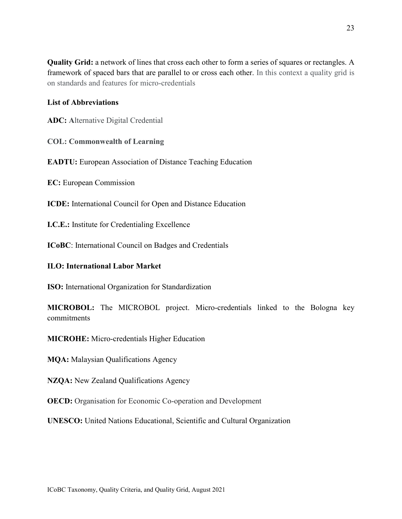**Quality Grid:** a network of lines that cross each other to form a series of squares or rectangles. A framework of spaced bars that are parallel to or cross each other. In this context a quality grid is on standards and features for micro-credentials

#### **List of Abbreviations**

**ADC: A**lternative Digital Credential

**COL: Commonwealth of Learning**

**EADTU:** European Association of Distance Teaching Education

**EC:** European Commission

**ICDE:** International Council for Open and Distance Education

**I.C.E.:** Institute for Credentialing Excellence

**ICoBC**: International Council on Badges and Credentials

#### **ILO: International Labor Market**

**ISO:** International Organization for Standardization

**MICROBOL:** The MICROBOL project. Micro-credentials linked to the Bologna key commitments

**MICROHE:** Micro-credentials Higher Education

**MQA:** Malaysian Qualifications Agency

**NZQA:** New Zealand Qualifications Agency

**OECD:** Organisation for Economic Co-operation and Development

**UNESCO:** United Nations Educational, Scientific and Cultural Organization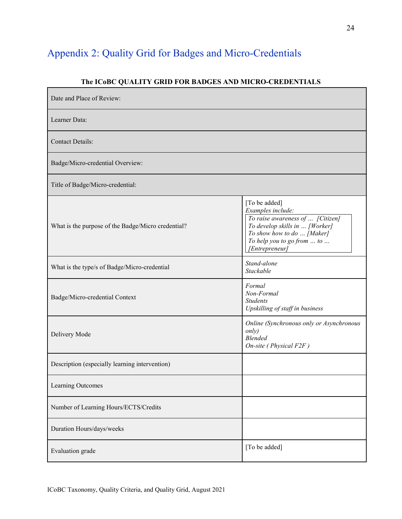# <span id="page-24-0"></span>Appendix 2: Quality Grid for Badges and Micro-Credentials

#### **The ICoBC QUALITY GRID FOR BADGES AND MICRO-CREDENTIALS**

| Date and Place of Review:                          |                                                                                                                                                                                        |
|----------------------------------------------------|----------------------------------------------------------------------------------------------------------------------------------------------------------------------------------------|
| Learner Data:                                      |                                                                                                                                                                                        |
| <b>Contact Details:</b>                            |                                                                                                                                                                                        |
| Badge/Micro-credential Overview:                   |                                                                                                                                                                                        |
| Title of Badge/Micro-credential:                   |                                                                                                                                                                                        |
| What is the purpose of the Badge/Micro credential? | [To be added]<br>Examples include:<br>To raise awareness of  [Citizen]<br>To develop skills in  [Worker]<br>To show how to do  [Maker]<br>To help you to go from  to<br>[Entrepreneur] |
| What is the type/s of Badge/Micro-credential       | Stand-alone<br>Stackable                                                                                                                                                               |
| Badge/Micro-credential Context                     | Formal<br>Non-Formal<br><b>Students</b><br>Upskilling of staff in business                                                                                                             |
| Delivery Mode                                      | Online (Synchronous only or Asynchronous<br>only)<br><b>Blended</b><br>$On\text{-site}$ (Physical F2F)                                                                                 |
| Description (especially learning intervention)     |                                                                                                                                                                                        |
| Learning Outcomes                                  |                                                                                                                                                                                        |
| Number of Learning Hours/ECTS/Credits              |                                                                                                                                                                                        |
| Duration Hours/days/weeks                          |                                                                                                                                                                                        |
| Evaluation grade                                   | [To be added]                                                                                                                                                                          |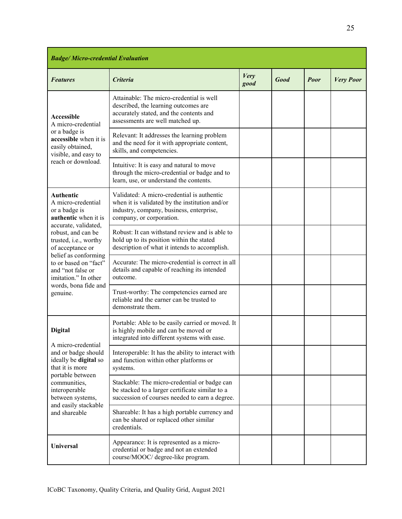| <b>Badge/Micro-credential Evaluation</b>                                                                                                                                                                                                                                                              |                                                                                                                                                                      |                     |             |      |                  |
|-------------------------------------------------------------------------------------------------------------------------------------------------------------------------------------------------------------------------------------------------------------------------------------------------------|----------------------------------------------------------------------------------------------------------------------------------------------------------------------|---------------------|-------------|------|------------------|
| <b>Features</b>                                                                                                                                                                                                                                                                                       | <b>Criteria</b>                                                                                                                                                      | <b>Very</b><br>good | <b>Good</b> | Poor | <b>Very Poor</b> |
| <b>Accessible</b><br>A micro-credential<br>or a badge is<br>accessible when it is<br>easily obtained,<br>visible, and easy to<br>reach or download.                                                                                                                                                   | Attainable: The micro-credential is well<br>described, the learning outcomes are<br>accurately stated, and the contents and<br>assessments are well matched up.      |                     |             |      |                  |
|                                                                                                                                                                                                                                                                                                       | Relevant: It addresses the learning problem<br>and the need for it with appropriate content,<br>skills, and competencies.                                            |                     |             |      |                  |
|                                                                                                                                                                                                                                                                                                       | Intuitive: It is easy and natural to move<br>through the micro-credential or badge and to<br>learn, use, or understand the contents.                                 |                     |             |      |                  |
| Authentic<br>A micro-credential<br>or a badge is<br>authentic when it is<br>accurate, validated,<br>robust, and can be<br>trusted, i.e., worthy<br>of acceptance or<br>belief as conforming<br>to or based on "fact"<br>and "not false or<br>imitation." In other<br>words, bona fide and<br>genuine. | Validated: A micro-credential is authentic<br>when it is validated by the institution and/or<br>industry, company, business, enterprise,<br>company, or corporation. |                     |             |      |                  |
|                                                                                                                                                                                                                                                                                                       | Robust: It can withstand review and is able to<br>hold up to its position within the stated<br>description of what it intends to accomplish.                         |                     |             |      |                  |
|                                                                                                                                                                                                                                                                                                       | Accurate: The micro-credential is correct in all<br>details and capable of reaching its intended<br>outcome.                                                         |                     |             |      |                  |
|                                                                                                                                                                                                                                                                                                       | Trust-worthy: The competencies earned are<br>reliable and the earner can be trusted to<br>demonstrate them.                                                          |                     |             |      |                  |
| <b>Digital</b><br>A micro-credential<br>and or badge should<br>ideally be digital so<br>that it is more<br>portable between<br>communities,<br>interoperable<br>between systems,<br>and easily stackable<br>and shareable                                                                             | Portable: Able to be easily carried or moved. It<br>is highly mobile and can be moved or<br>integrated into different systems with ease.                             |                     |             |      |                  |
|                                                                                                                                                                                                                                                                                                       | Interoperable: It has the ability to interact with<br>and function within other platforms or<br>systems.                                                             |                     |             |      |                  |
|                                                                                                                                                                                                                                                                                                       | Stackable: The micro-credential or badge can<br>be stacked to a larger certificate similar to a<br>succession of courses needed to earn a degree.                    |                     |             |      |                  |
|                                                                                                                                                                                                                                                                                                       | Shareable: It has a high portable currency and<br>can be shared or replaced other similar<br>credentials.                                                            |                     |             |      |                  |
| <b>Universal</b>                                                                                                                                                                                                                                                                                      | Appearance: It is represented as a micro-<br>credential or badge and not an extended<br>course/MOOC/ degree-like program.                                            |                     |             |      |                  |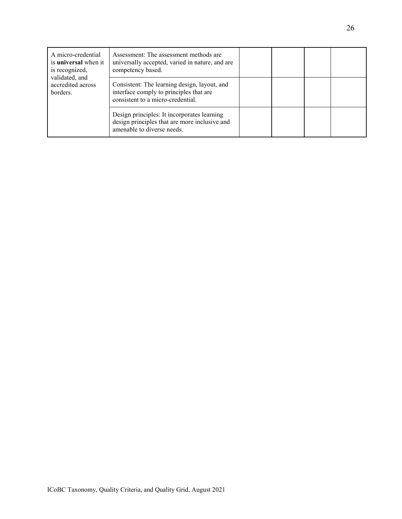| A micro-credential<br>is <b>universal</b> when it<br>is recognized,<br>validated, and<br>accredited across<br>borders. | Assessment: The assessment methods are<br>universally accepted, varied in nature, and are<br>competency based.               |  |  |
|------------------------------------------------------------------------------------------------------------------------|------------------------------------------------------------------------------------------------------------------------------|--|--|
|                                                                                                                        | Consistent: The learning design, layout, and<br>interface comply to principles that are<br>consistent to a micro-credential. |  |  |
|                                                                                                                        | Design principles: It incorporates learning<br>design principles that are more inclusive and<br>amenable to diverse needs.   |  |  |